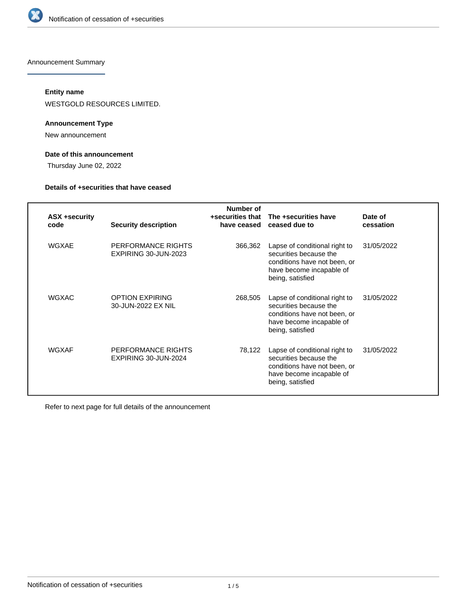

Announcement Summary

# **Entity name**

WESTGOLD RESOURCES LIMITED.

# **Announcement Type**

New announcement

# **Date of this announcement**

Thursday June 02, 2022

## **Details of +securities that have ceased**

| <b>ASX +security</b><br>code | <b>Security description</b>                  | Number of<br>+securities that<br>have ceased | The +securities have<br>ceased due to                                                                                                   | Date of<br>cessation |
|------------------------------|----------------------------------------------|----------------------------------------------|-----------------------------------------------------------------------------------------------------------------------------------------|----------------------|
| WGXAE                        | PERFORMANCE RIGHTS<br>EXPIRING 30-JUN-2023   | 366,362                                      | Lapse of conditional right to<br>securities because the<br>conditions have not been, or<br>have become incapable of<br>being, satisfied | 31/05/2022           |
| <b>WGXAC</b>                 | <b>OPTION EXPIRING</b><br>30-JUN-2022 EX NIL | 268,505                                      | Lapse of conditional right to<br>securities because the<br>conditions have not been, or<br>have become incapable of<br>being, satisfied | 31/05/2022           |
| WGXAF                        | PERFORMANCE RIGHTS<br>EXPIRING 30-JUN-2024   | 78,122                                       | Lapse of conditional right to<br>securities because the<br>conditions have not been, or<br>have become incapable of<br>being, satisfied | 31/05/2022           |

Refer to next page for full details of the announcement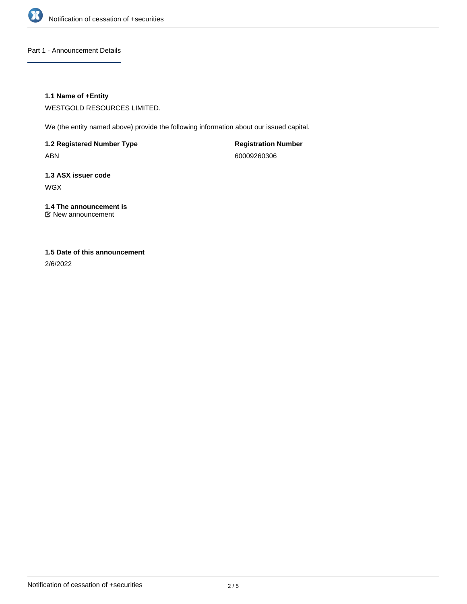

Part 1 - Announcement Details

# **1.1 Name of +Entity**

WESTGOLD RESOURCES LIMITED.

We (the entity named above) provide the following information about our issued capital.

**1.2 Registered Number Type** ABN

**Registration Number** 60009260306

**1.3 ASX issuer code** WGX

**1.4 The announcement is** New announcement

# **1.5 Date of this announcement**

2/6/2022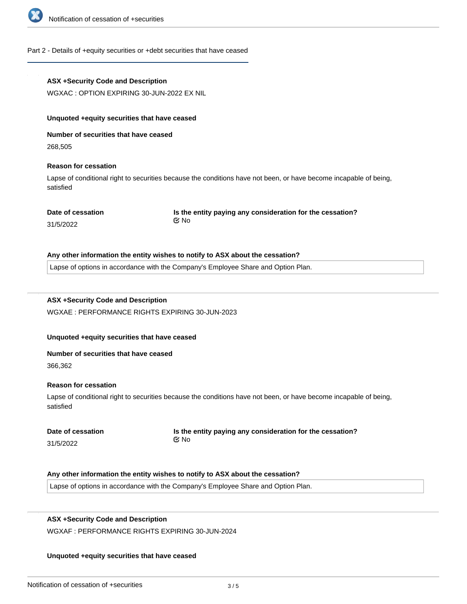

#### Part 2 - Details of +equity securities or +debt securities that have ceased

## **ASX +Security Code and Description**

WGXAC : OPTION EXPIRING 30-JUN-2022 EX NIL

#### **Unquoted +equity securities that have ceased**

**Number of securities that have ceased**

268,505

## **Reason for cessation**

Lapse of conditional right to securities because the conditions have not been, or have become incapable of being, satisfied

#### **Date of cessation**

**Is the entity paying any consideration for the cessation?** No

31/5/2022

#### **Any other information the entity wishes to notify to ASX about the cessation?**

Lapse of options in accordance with the Company's Employee Share and Option Plan.

# **ASX +Security Code and Description**

WGXAE : PERFORMANCE RIGHTS EXPIRING 30-JUN-2023

## **Unquoted +equity securities that have ceased**

#### **Number of securities that have ceased**

366,362

#### **Reason for cessation**

Lapse of conditional right to securities because the conditions have not been, or have become incapable of being, satisfied

|           | Date of cessation |
|-----------|-------------------|
| 31/5/2022 |                   |

**Is the entity paying any consideration for the cessation?** No

#### **Any other information the entity wishes to notify to ASX about the cessation?**

Lapse of options in accordance with the Company's Employee Share and Option Plan.

## **ASX +Security Code and Description**

**Number of securities that have ceased**

WGXAF : PERFORMANCE RIGHTS EXPIRING 30-JUN-2024

#### **Unquoted +equity securities that have ceased**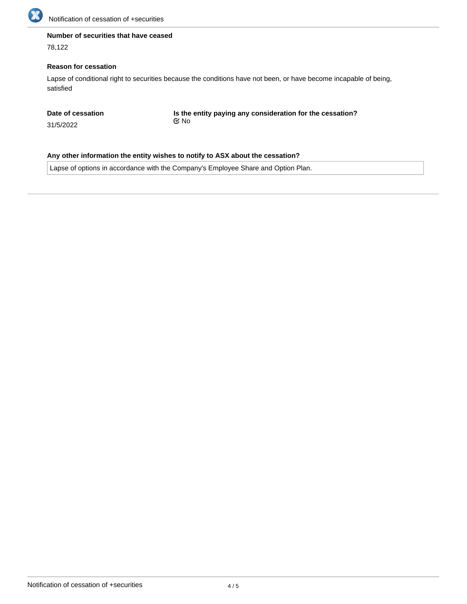

# **Number of securities that have ceased**

78,122

# **Reason for cessation**

Lapse of conditional right to securities because the conditions have not been, or have become incapable of being, satisfied

**Date of cessation**

31/5/2022

**Is the entity paying any consideration for the cessation?** No

**Any other information the entity wishes to notify to ASX about the cessation?**

Lapse of options in accordance with the Company's Employee Share and Option Plan.